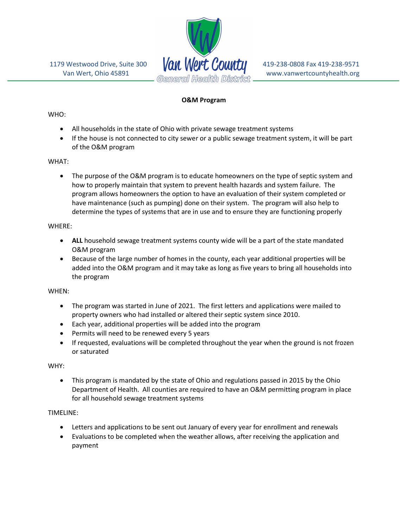

## O&M Program

## WHO:

- All households in the state of Ohio with private sewage treatment systems
- If the house is not connected to city sewer or a public sewage treatment system, it will be part of the O&M program

## WHAT:

• The purpose of the O&M program is to educate homeowners on the type of septic system and how to properly maintain that system to prevent health hazards and system failure. The program allows homeowners the option to have an evaluation of their system completed or have maintenance (such as pumping) done on their system. The program will also help to determine the types of systems that are in use and to ensure they are functioning properly

## WHERE:

- ALL household sewage treatment systems county wide will be a part of the state mandated O&M program
- Because of the large number of homes in the county, each year additional properties will be added into the O&M program and it may take as long as five years to bring all households into the program

#### WHEN:

- The program was started in June of 2021. The first letters and applications were mailed to property owners who had installed or altered their septic system since 2010.
- Each year, additional properties will be added into the program
- Permits will need to be renewed every 5 years
- If requested, evaluations will be completed throughout the year when the ground is not frozen or saturated

# WHY:

 This program is mandated by the state of Ohio and regulations passed in 2015 by the Ohio Department of Health. All counties are required to have an O&M permitting program in place for all household sewage treatment systems

# TIMELINE:

- Letters and applications to be sent out January of every year for enrollment and renewals
- Evaluations to be completed when the weather allows, after receiving the application and payment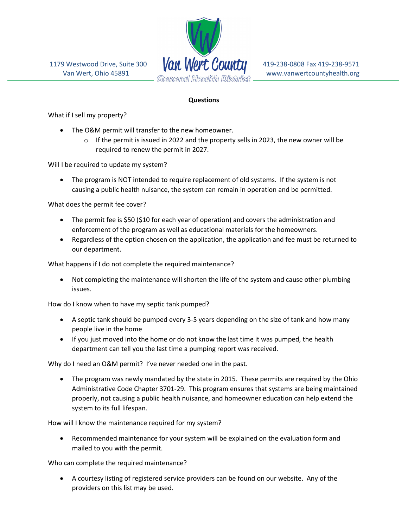

# **Questions**

What if I sell my property?

- The O&M permit will transfer to the new homeowner.
	- $\circ$  If the permit is issued in 2022 and the property sells in 2023, the new owner will be required to renew the permit in 2027.

Will I be required to update my system?

 The program is NOT intended to require replacement of old systems. If the system is not causing a public health nuisance, the system can remain in operation and be permitted.

What does the permit fee cover?

- The permit fee is \$50 (\$10 for each year of operation) and covers the administration and enforcement of the program as well as educational materials for the homeowners.
- Regardless of the option chosen on the application, the application and fee must be returned to our department.

What happens if I do not complete the required maintenance?

 Not completing the maintenance will shorten the life of the system and cause other plumbing issues.

How do I know when to have my septic tank pumped?

- A septic tank should be pumped every 3-5 years depending on the size of tank and how many people live in the home
- If you just moved into the home or do not know the last time it was pumped, the health department can tell you the last time a pumping report was received.

Why do I need an O&M permit? I've never needed one in the past.

• The program was newly mandated by the state in 2015. These permits are required by the Ohio Administrative Code Chapter 3701-29. This program ensures that systems are being maintained properly, not causing a public health nuisance, and homeowner education can help extend the system to its full lifespan.

How will I know the maintenance required for my system?

 Recommended maintenance for your system will be explained on the evaluation form and mailed to you with the permit.

Who can complete the required maintenance?

 A courtesy listing of registered service providers can be found on our website. Any of the providers on this list may be used.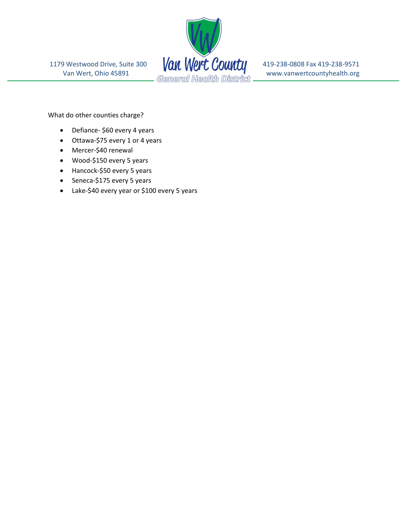

What do other counties charge?

- Defiance- \$60 every 4 years
- Ottawa-\$75 every 1 or 4 years
- Mercer-\$40 renewal
- Wood-\$150 every 5 years
- Hancock-\$50 every 5 years
- Seneca-\$175 every 5 years
- Lake-\$40 every year or \$100 every 5 years